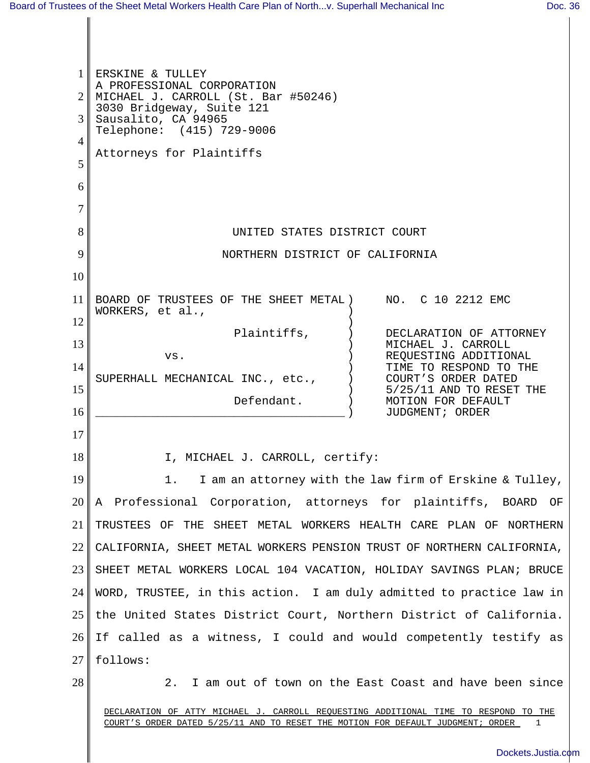1 2 3 4 5 6 7 8 9 10 11 12 13 14 15 16 17 18 19 20 21 22 23 24 25 26 27 28 DECLARATION OF ATTY MICHAEL J. CARROLL REQUESTING ADDITIONAL TIME TO RESPOND TO THE COURT'S ORDER DATED 5/25/11 AND TO RESET THE MOTION FOR DEFAULT JUDGMENT; ORDER 1 ERSKINE & TULLEY A PROFESSIONAL CORPORATION MICHAEL J. CARROLL (St. Bar #50246) 3030 Bridgeway, Suite 121 Sausalito, CA 94965 Telephone: (415) 729-9006 Attorneys for Plaintiffs UNITED STATES DISTRICT COURT NORTHERN DISTRICT OF CALIFORNIA BOARD OF TRUSTEES OF THE SHEET METAL ) WORKERS, et al., Plaintiffs, vs. SUPERHALL MECHANICAL INC., etc., Defendant. \_\_\_\_\_\_\_\_\_\_\_\_\_\_\_\_\_\_\_\_\_\_\_\_\_\_\_\_\_\_\_\_\_\_\_\_ ) )  $\lambda$ ) ) )  $\left( \right)$  $\lambda$ ) ) NO. C 10 2212 EMC DECLARATION OF ATTORNEY MICHAEL J. CARROLL REQUESTING ADDITIONAL TIME TO RESPOND TO THE COURT'S ORDER DATED 5/25/11 AND TO RESET THE MOTION FOR DEFAULT JUDGMENT; ORDER I, MICHAEL J. CARROLL, certify: 1. I am an attorney with the law firm of Erskine & Tulley, A Professional Corporation, attorneys for plaintiffs, BOARD OF TRUSTEES OF THE SHEET METAL WORKERS HEALTH CARE PLAN OF NORTHERN CALIFORNIA, SHEET METAL WORKERS PENSION TRUST OF NORTHERN CALIFORNIA, SHEET METAL WORKERS LOCAL 104 VACATION, HOLIDAY SAVINGS PLAN; BRUCE WORD, TRUSTEE, in this action. I am duly admitted to practice law in the United States District Court, Northern District of California. If called as a witness, I could and would competently testify as follows: 2. I am out of town on the East Coast and have been since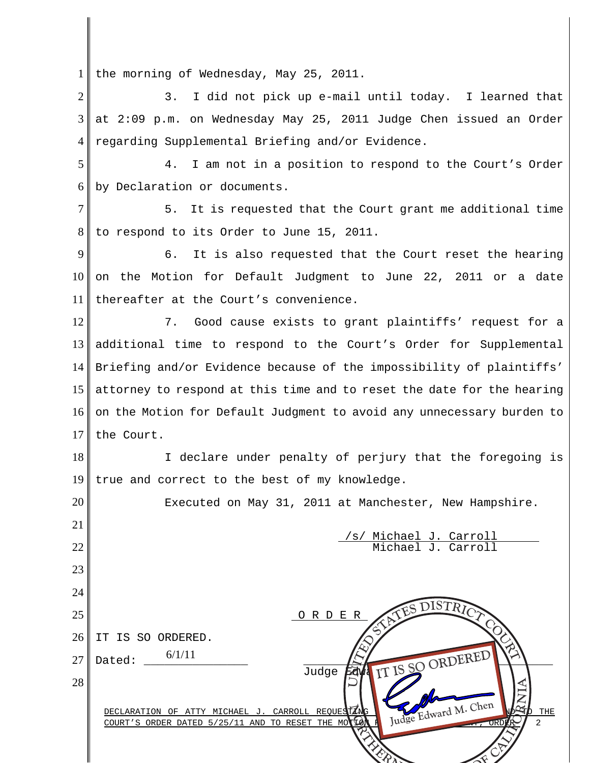1 the morning of Wednesday, May 25, 2011.

2 3 4 3. I did not pick up e-mail until today. I learned that at 2:09 p.m. on Wednesday May 25, 2011 Judge Chen issued an Order regarding Supplemental Briefing and/or Evidence.

5 6 4. I am not in a position to respond to the Court's Order by Declaration or documents.

7 8 5. It is requested that the Court grant me additional time to respond to its Order to June 15, 2011.

9 10 11 6. It is also requested that the Court reset the hearing on the Motion for Default Judgment to June 22, 2011 or a date thereafter at the Court's convenience.

12 13 14 15 16 17 7. Good cause exists to grant plaintiffs' request for a additional time to respond to the Court's Order for Supplemental Briefing and/or Evidence because of the impossibility of plaintiffs' attorney to respond at this time and to reset the date for the hearing on the Motion for Default Judgment to avoid any unnecessary burden to the Court.

18 19 I declare under penalty of perjury that the foregoing is true and correct to the best of my knowledge.

20 21 22 23 24 25 26 27 28 DECLARATION OF ATTY MICHAEL J. CARROLL REQUESTING  $\bigcup_{\tau,\lambda,\tau,\gamma} \mathcal{A}_{\tau,\lambda}$  and  $\mathcal{A}_{\tau,\lambda}$   $\mathcal{A}_{\tau,\lambda}$ COURT'S ORDER DATED 5/25/11 AND TO RESET THE M Executed on May 31, 2011 at Manchester, New Hampshire. /s/ Michael J. Carroll Michael J. Carroll O R D E R IT IS SO ORDERED. Dated: \_\_\_\_\_\_\_\_\_\_\_\_\_\_\_ \_\_\_\_\_\_\_\_\_\_\_\_\_\_\_\_\_\_\_\_\_\_\_\_\_\_\_\_\_\_\_\_\_\_\_\_ Judge  $E$ dya IT IS SO 6/1/11 R ANTES DISTRICT COMPANY Judge Edward M. Chen  $\blacksquare$  $\triangleleft$ IT IS SO ORDERED Judge Edward M. Chen